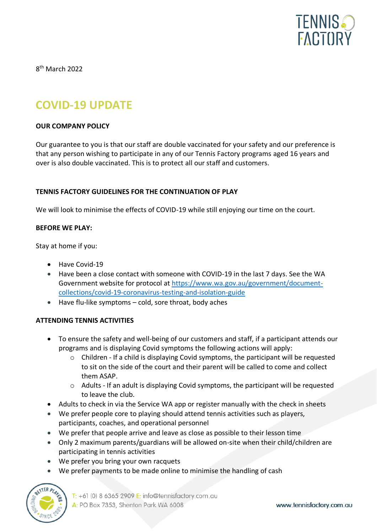

8<sup>th</sup> March 2022

# **COVID-19 UPDATE**

#### **OUR COMPANY POLICY**

Our guarantee to you is that our staff are double vaccinated for your safety and our preference is that any person wishing to participate in any of our Tennis Factory programs aged 16 years and over is also double vaccinated. This is to protect all our staff and customers.

## **TENNIS FACTORY GUIDELINES FOR THE CONTINUATION OF PLAY**

We will look to minimise the effects of COVID-19 while still enjoying our time on the court.

#### **BEFORE WE PLAY:**

Stay at home if you:

- Have Covid-19
- Have been a close contact with someone with COVID-19 in the last 7 days. See the WA Government website for protocol at [https://www.wa.gov.au/government/document](https://www.wa.gov.au/government/document-collections/covid-19-coronavirus-testing-and-isolation-guide)[collections/covid-19-coronavirus-testing-and-isolation-guide](https://www.wa.gov.au/government/document-collections/covid-19-coronavirus-testing-and-isolation-guide)
- Have flu-like symptoms cold, sore throat, body aches

## **ATTENDING TENNIS ACTIVITIES**

- To ensure the safety and well-being of our customers and staff, if a participant attends our programs and is displaying Covid symptoms the following actions will apply:
	- $\circ$  Children If a child is displaying Covid symptoms, the participant will be requested to sit on the side of the court and their parent will be called to come and collect them ASAP.
	- o Adults If an adult is displaying Covid symptoms, the participant will be requested to leave the club.
- Adults to check in via the Service WA app or register manually with the check in sheets
- We prefer people core to playing should attend tennis activities such as players, participants, coaches, and operational personnel
- We prefer that people arrive and leave as close as possible to their lesson time
- Only 2 maximum parents/guardians will be allowed on-site when their child/children are participating in tennis activities
- We prefer you bring your own racquets
- We prefer payments to be made online to minimise the handling of cash



T: +61 (0) 8 6365 2909 E: info@tennisfactory.com.au A: PO Box 7353, Shenton Park WA 6008